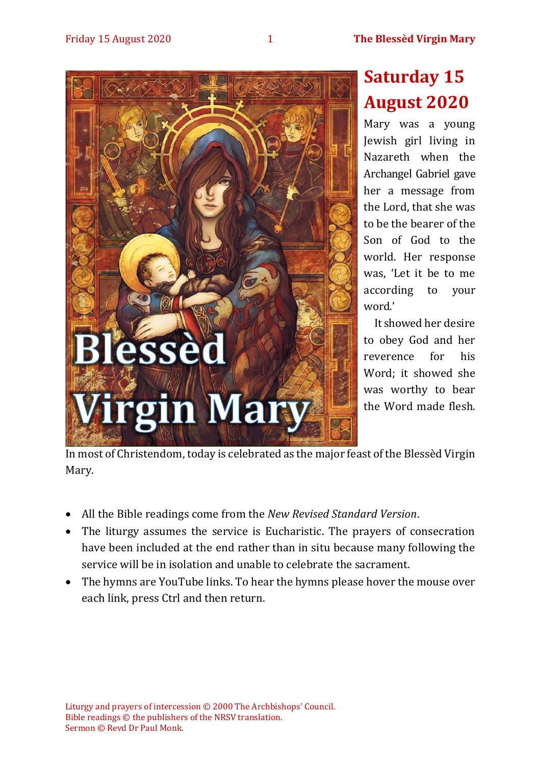

# **Saturday 15 August 2020**

Mary was a young Jewish girl living in Nazareth when the Archangel Gabriel gave her a message from the Lord, that she was to be the bearer of the Son of God to the world. Her response was, 'Let it be to me according to your word.'

It showed her desire to obey God and her reverence for his Word; it showed she was worthy to bear the Word made flesh.

In most of Christendom, today is celebrated as the major feast of the Blessèd Virgin Mary.

- All the Bible readings come from the *New Revised Standard Version*.
- The liturgy assumes the service is Eucharistic. The prayers of consecration have been included at the end rather than in situ because many following the service will be in isolation and unable to celebrate the sacrament.
- The hymns are YouTube links. To hear the hymns please hover the mouse over each link, press Ctrl and then return.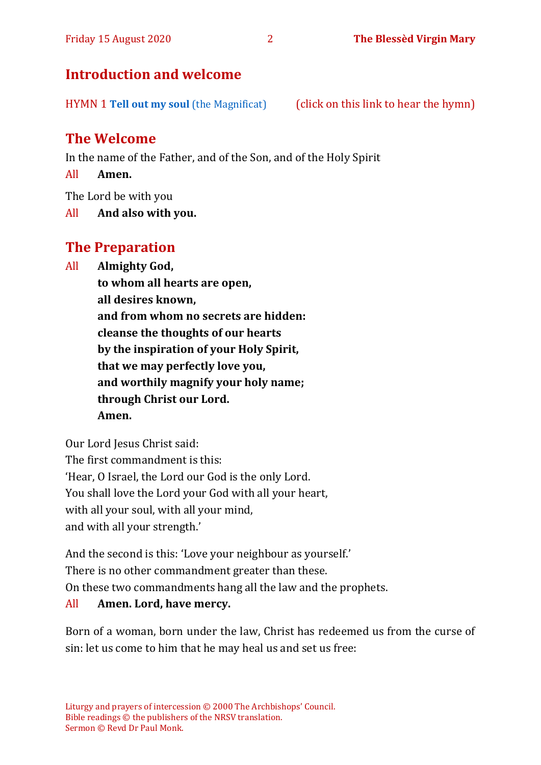#### Friday 15 August 2020 2 **The Blessèd Virgin Mary**

## **Introduction and welcome**

HYMN 1 **[Tell out my soul](https://www.youtube.com/watch?v=-_JnUppvTAQ)** (the Magnificat) (click on this link to hear the hymn)

# **The Welcome**

In the name of the Father, and of the Son, and of the Holy Spirit

All **Amen.**

The Lord be with you

All **And also with you.**

## **The Preparation**

All **Almighty God,**

**to whom all hearts are open, all desires known, and from whom no secrets are hidden: cleanse the thoughts of our hearts by the inspiration of your Holy Spirit, that we may perfectly love you, and worthily magnify your holy name; through Christ our Lord. Amen.**

Our Lord Jesus Christ said: The first commandment is this: 'Hear, O Israel, the Lord our God is the only Lord. You shall love the Lord your God with all your heart, with all your soul, with all your mind, and with all your strength.'

And the second is this: 'Love your neighbour as yourself.' There is no other commandment greater than these. On these two commandments hang all the law and the prophets. All **Amen. Lord, have mercy.**

Born of a woman, born under the law, Christ has redeemed us from the curse of sin: let us come to him that he may heal us and set us free: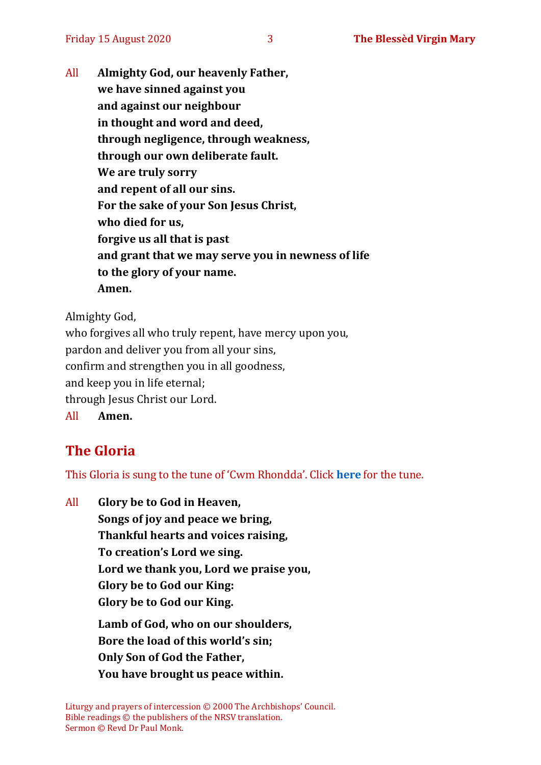All **Almighty God, our heavenly Father, we have sinned against you and against our neighbour in thought and word and deed, through negligence, through weakness, through our own deliberate fault. We are truly sorry and repent of all our sins. For the sake of your Son Jesus Christ, who died for us, forgive us all that is past and grant that we may serve you in newness of life to the glory of your name. Amen.**

Almighty God,

who forgives all who truly repent, have mercy upon you, pardon and deliver you from all your sins, confirm and strengthen you in all goodness, and keep you in life eternal; through Jesus Christ our Lord. All **Amen.**

# **The Gloria**

This Gloria is sung to the tune of 'Cwm Rhondda'. Click **[here](about:blank)** for the tune.

All **Glory be to God in Heaven, Songs of joy and peace we bring, Thankful hearts and voices raising, To creation's Lord we sing. Lord we thank you, Lord we praise you, Glory be to God our King: Glory be to God our King. Lamb of God, who on our shoulders, Bore the load of this world's sin; Only Son of God the Father, You have brought us peace within.**

Liturgy and prayers of intercession © 2000 The Archbishops' Council. Bible readings © the publishers of the NRSV translation. Sermon © Revd Dr Paul Monk.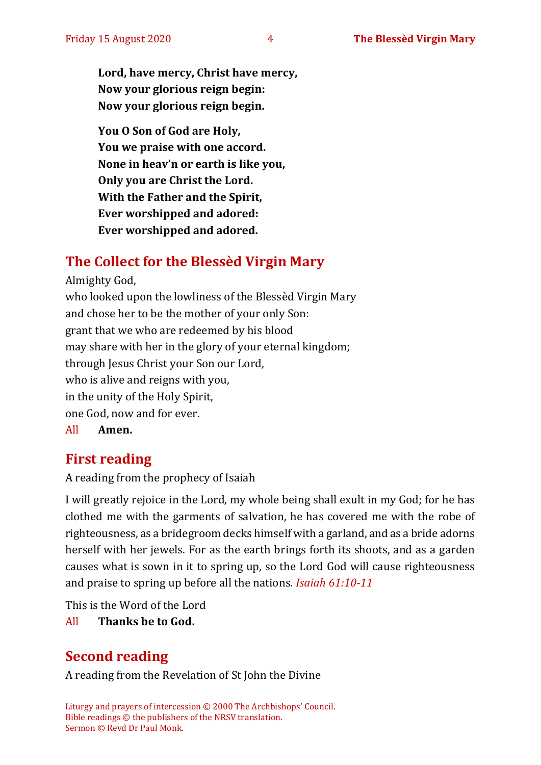**Lord, have mercy, Christ have mercy, Now your glorious reign begin: Now your glorious reign begin.**

**You O Son of God are Holy, You we praise with one accord. None in heav'n or earth is like you, Only you are Christ the Lord. With the Father and the Spirit, Ever worshipped and adored: Ever worshipped and adored.**

# **The Collect for the Blessèd Virgin Mary**

Almighty God, who looked upon the lowliness of the Blessèd Virgin Mary and chose her to be the mother of your only Son: grant that we who are redeemed by his blood may share with her in the glory of your eternal kingdom; through Jesus Christ your Son our Lord, who is alive and reigns with you, in the unity of the Holy Spirit, one God, now and for ever.

All **Amen.**

### **First reading**

A reading from the prophecy of Isaiah

I will greatly rejoice in the Lord, my whole being shall exult in my God; for he has clothed me with the garments of salvation, he has covered me with the robe of righteousness, as a bridegroom decks himself with a garland, and as a bride adorns herself with her jewels. For as the earth brings forth its shoots, and as a garden causes what is sown in it to spring up, so the Lord God will cause righteousness and praise to spring up before all the nations. *Isaiah 61:10-11*

This is the Word of the Lord

All **Thanks be to God.**

# **Second reading**

A reading from the Revelation of St John the Divine

Liturgy and prayers of intercession © 2000 The Archbishops' Council. Bible readings © the publishers of the NRSV translation. Sermon © Revd Dr Paul Monk.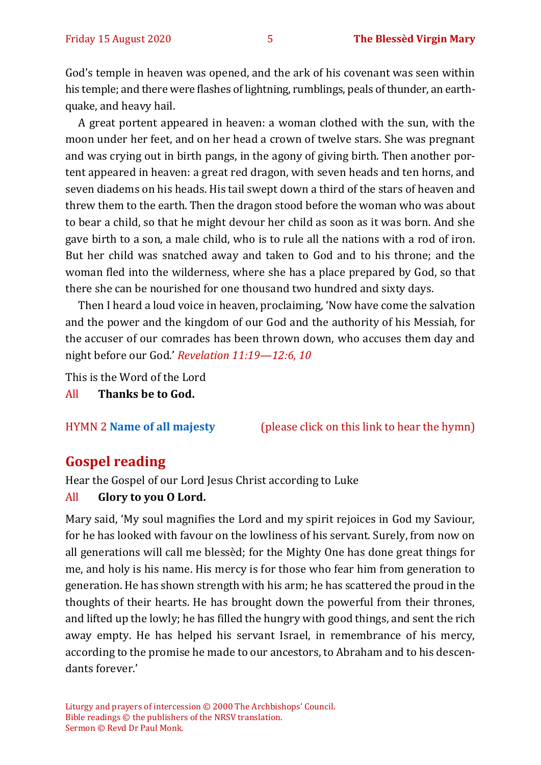God's temple in heaven was opened, and the ark of his covenant was seen within his temple; and there were flashes of lightning, rumblings, peals of thunder, an earthquake, and heavy hail.

A great portent appeared in heaven: a woman clothed with the sun, with the moon under her feet, and on her head a crown of twelve stars. She was pregnant and was crying out in birth pangs, in the agony of giving birth. Then another portent appeared in heaven: a great red dragon, with seven heads and ten horns, and seven diadems on his heads. His tail swept down a third of the stars of heaven and threw them to the earth. Then the dragon stood before the woman who was about to bear a child, so that he might devour her child as soon as it was born. And she gave birth to a son, a male child, who is to rule all the nations with a rod of iron. But her child was snatched away and taken to God and to his throne; and the woman fled into the wilderness, where she has a place prepared by God, so that there she can be nourished for one thousand two hundred and sixty days.

Then I heard a loud voice in heaven, proclaiming, 'Now have come the salvation and the power and the kingdom of our God and the authority of his Messiah, for the accuser of our comrades has been thrown down, who accuses them day and night before our God.' *Revelation 11:19—12:6, 10*

This is the Word of the Lord

All **Thanks be to God.**

HYMN 2 **[Name of all majesty](https://www.youtube.com/watch?v=VU65_YVBoOI)** (please click on this link to hear the hymn)

#### **Gospel reading**

Hear the Gospel of our Lord Jesus Christ according to Luke

#### All **Glory to you O Lord.**

Mary said, 'My soul magnifies the Lord and my spirit rejoices in God my Saviour, for he has looked with favour on the lowliness of his servant. Surely, from now on all generations will call me blessèd; for the Mighty One has done great things for me, and holy is his name. His mercy is for those who fear him from generation to generation. He has shown strength with his arm; he has scattered the proud in the thoughts of their hearts. He has brought down the powerful from their thrones, and lifted up the lowly; he has filled the hungry with good things, and sent the rich away empty. He has helped his servant Israel, in remembrance of his mercy, according to the promise he made to our ancestors, to Abraham and to his descendants forever.'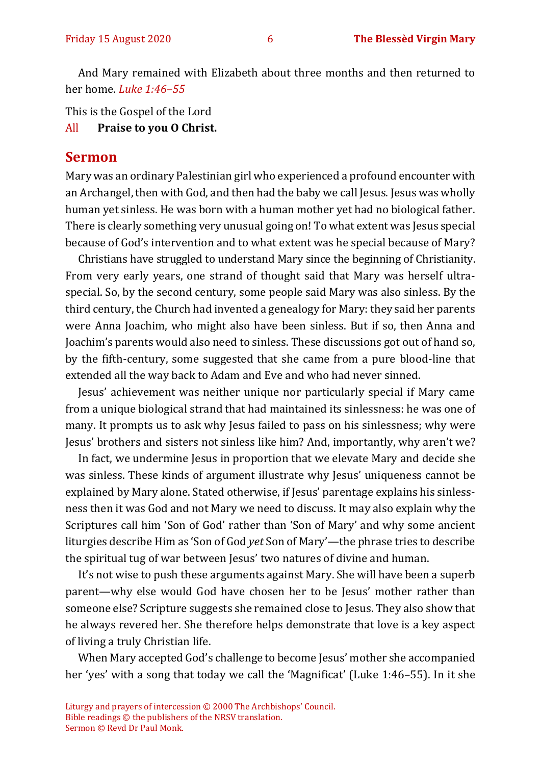And Mary remained with Elizabeth about three months and then returned to her home. *Luke 1:46–55*

This is the Gospel of the Lord

All **Praise to you O Christ.** 

#### **Sermon**

Mary was an ordinary Palestinian girl who experienced a profound encounter with an Archangel, then with God, and then had the baby we call Jesus. Jesus was wholly human yet sinless. He was born with a human mother yet had no biological father. There is clearly something very unusual going on! To what extent was Jesus special because of God's intervention and to what extent was he special because of Mary?

Christians have struggled to understand Mary since the beginning of Christianity. From very early years, one strand of thought said that Mary was herself ultraspecial. So, by the second century, some people said Mary was also sinless. By the third century, the Church had invented a genealogy for Mary: they said her parents were Anna Joachim, who might also have been sinless. But if so, then Anna and Joachim's parents would also need to sinless. These discussions got out of hand so, by the fifth-century, some suggested that she came from a pure blood-line that extended all the way back to Adam and Eve and who had never sinned.

Jesus' achievement was neither unique nor particularly special if Mary came from a unique biological strand that had maintained its sinlessness: he was one of many. It prompts us to ask why Jesus failed to pass on his sinlessness; why were Jesus' brothers and sisters not sinless like him? And, importantly, why aren't we?

In fact, we undermine Jesus in proportion that we elevate Mary and decide she was sinless. These kinds of argument illustrate why Jesus' uniqueness cannot be explained by Mary alone. Stated otherwise, if Jesus' parentage explains his sinlessness then it was God and not Mary we need to discuss. It may also explain why the Scriptures call him 'Son of God' rather than 'Son of Mary' and why some ancient liturgies describe Him as 'Son of God *yet* Son of Mary'—the phrase tries to describe the spiritual tug of war between Jesus' two natures of divine and human.

It's not wise to push these arguments against Mary. She will have been a superb parent—why else would God have chosen her to be Jesus' mother rather than someone else? Scripture suggests she remained close to Jesus. They also show that he always revered her. She therefore helps demonstrate that love is a key aspect of living a truly Christian life.

When Mary accepted God's challenge to become Jesus' mother she accompanied her 'yes' with a song that today we call the 'Magnificat' (Luke 1:46–55). In it she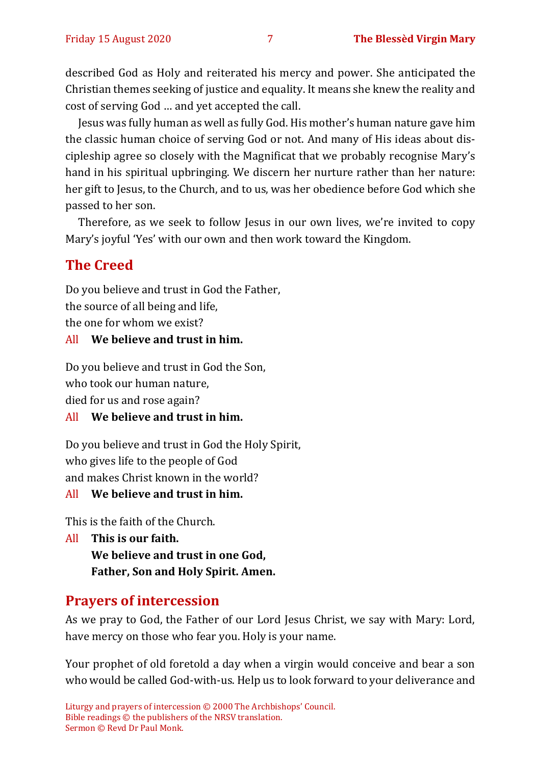described God as Holy and reiterated his mercy and power. She anticipated the Christian themes seeking of justice and equality. It means she knew the reality and cost of serving God … and yet accepted the call.

Jesus was fully human as well as fully God. His mother's human nature gave him the classic human choice of serving God or not. And many of His ideas about discipleship agree so closely with the Magnificat that we probably recognise Mary's hand in his spiritual upbringing. We discern her nurture rather than her nature: her gift to Jesus, to the Church, and to us, was her obedience before God which she passed to her son.

Therefore, as we seek to follow Jesus in our own lives, we're invited to copy Mary's joyful 'Yes' with our own and then work toward the Kingdom.

### **The Creed**

Do you believe and trust in God the Father, the source of all being and life, the one for whom we exist?

#### All **We believe and trust in him.**

Do you believe and trust in God the Son, who took our human nature, died for us and rose again?

#### All **We believe and trust in him.**

Do you believe and trust in God the Holy Spirit, who gives life to the people of God and makes Christ known in the world?

#### All **We believe and trust in him.**

This is the faith of the Church.

All **This is our faith. We believe and trust in one God, Father, Son and Holy Spirit. Amen.**

### **Prayers of intercession**

As we pray to God, the Father of our Lord Jesus Christ, we say with Mary: Lord, have mercy on those who fear you. Holy is your name.

Your prophet of old foretold a day when a virgin would conceive and bear a son who would be called God-with-us. Help us to look forward to your deliverance and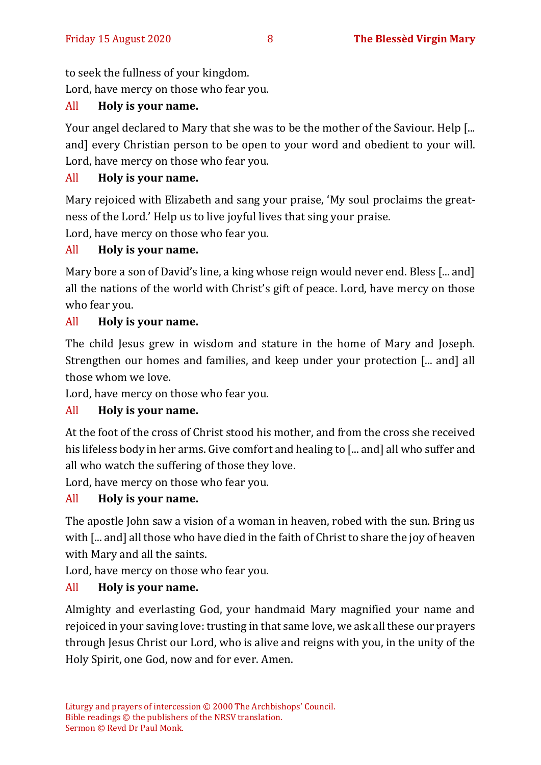to seek the fullness of your kingdom.

Lord, have mercy on those who fear you.

#### All **Holy is your name.**

Your angel declared to Mary that she was to be the mother of the Saviour. Help [... and] every Christian person to be open to your word and obedient to your will. Lord, have mercy on those who fear you.

#### All **Holy is your name.**

Mary rejoiced with Elizabeth and sang your praise, 'My soul proclaims the greatness of the Lord.' Help us to live joyful lives that sing your praise.

Lord, have mercy on those who fear you.

#### All **Holy is your name.**

Mary bore a son of David's line, a king whose reign would never end. Bless [... and] all the nations of the world with Christ's gift of peace. Lord, have mercy on those who fear you.

#### All **Holy is your name.**

The child Jesus grew in wisdom and stature in the home of Mary and Joseph. Strengthen our homes and families, and keep under your protection [... and] all those whom we love.

Lord, have mercy on those who fear you.

#### All **Holy is your name.**

At the foot of the cross of Christ stood his mother, and from the cross she received his lifeless body in her arms. Give comfort and healing to [... and] all who suffer and all who watch the suffering of those they love.

Lord, have mercy on those who fear you.

#### All **Holy is your name.**

The apostle John saw a vision of a woman in heaven, robed with the sun. Bring us with [... and] all those who have died in the faith of Christ to share the joy of heaven with Mary and all the saints.

Lord, have mercy on those who fear you.

### All **Holy is your name.**

Almighty and everlasting God, your handmaid Mary magnified your name and rejoiced in your saving love: trusting in that same love, we ask all these our prayers through Jesus Christ our Lord, who is alive and reigns with you, in the unity of the Holy Spirit, one God, now and for ever. Amen.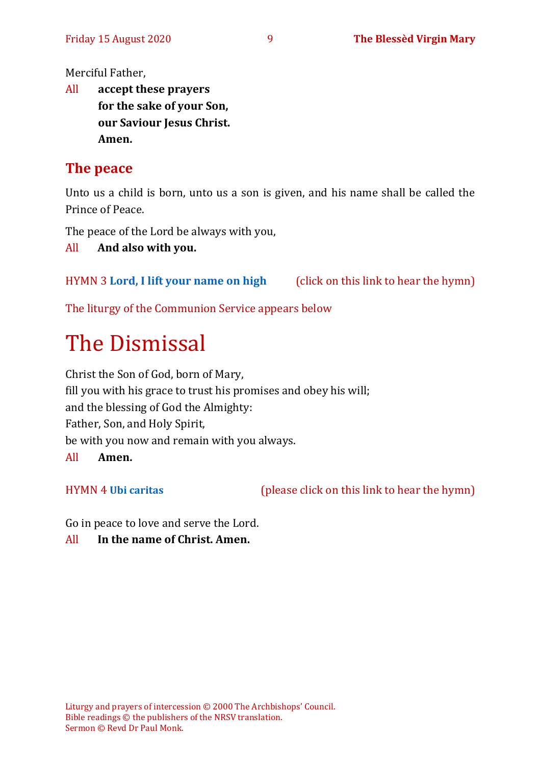Merciful Father,

All **accept these prayers for the sake of your Son, our Saviour Jesus Christ. Amen.**

# **The peace**

Unto us a child is born, unto us a son is given, and his name shall be called the Prince of Peace.

The peace of the Lord be always with you,

All **And also with you.**

HYMN 3 **[Lord, I lift your name on high](https://www.youtube.com/watch?v=COQ6cni_TG8hy)** (click on this link to hear the hymn)

The liturgy of the Communion Service appears below

# The Dismissal

Christ the Son of God, born of Mary, fill you with his grace to trust his promises and obey his will; and the blessing of God the Almighty: Father, Son, and Holy Spirit, be with you now and remain with you always. All **Amen.**

HYMN 4 **[Ubi caritas](https://www.youtube.com/watch?v=X9e_QO1ATho)** (please click on this link to hear the hymn)

Go in peace to love and serve the Lord.

All **In the name of Christ. Amen.**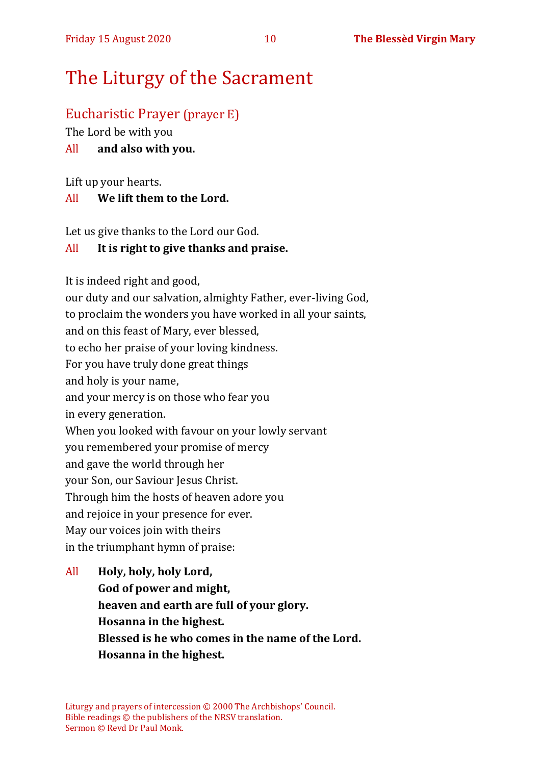# The Liturgy of the Sacrament

## Eucharistic Prayer (prayer E)

The Lord be with you

#### All **and also with you.**

Lift up your hearts.

#### All **We lift them to the Lord.**

Let us give thanks to the Lord our God.

#### All **It is right to give thanks and praise.**

It is indeed right and good,

our duty and our salvation, almighty Father, ever-living God, to proclaim the wonders you have worked in all your saints, and on this feast of Mary, ever blessed, to echo her praise of your loving kindness. For you have truly done great things and holy is your name, and your mercy is on those who fear you in every generation. When you looked with favour on your lowly servant you remembered your promise of mercy and gave the world through her your Son, our Saviour Jesus Christ. Through him the hosts of heaven adore you and rejoice in your presence for ever. May our voices join with theirs in the triumphant hymn of praise:

All **Holy, holy, holy Lord, God of power and might, heaven and earth are full of your glory. Hosanna in the highest. Blessed is he who comes in the name of the Lord. Hosanna in the highest.**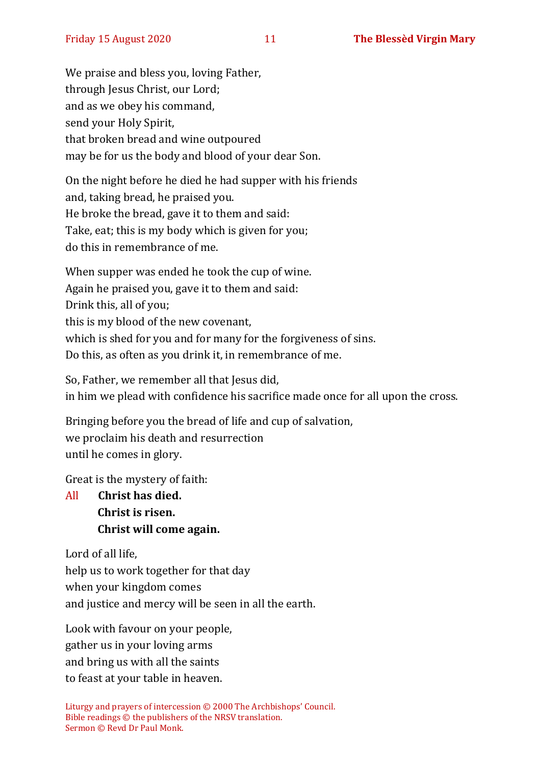We praise and bless you, loving Father, through Jesus Christ, our Lord; and as we obey his command, send your Holy Spirit, that broken bread and wine outpoured may be for us the body and blood of your dear Son.

On the night before he died he had supper with his friends and, taking bread, he praised you. He broke the bread, gave it to them and said: Take, eat; this is my body which is given for you; do this in remembrance of me.

When supper was ended he took the cup of wine. Again he praised you, gave it to them and said: Drink this, all of you; this is my blood of the new covenant, which is shed for you and for many for the forgiveness of sins. Do this, as often as you drink it, in remembrance of me.

So, Father, we remember all that Jesus did, in him we plead with confidence his sacrifice made once for all upon the cross.

Bringing before you the bread of life and cup of salvation, we proclaim his death and resurrection until he comes in glory.

Great is the mystery of faith:

All **Christ has died. Christ is risen. Christ will come again.**

Lord of all life, help us to work together for that day when your kingdom comes and justice and mercy will be seen in all the earth.

Look with favour on your people, gather us in your loving arms and bring us with all the saints to feast at your table in heaven.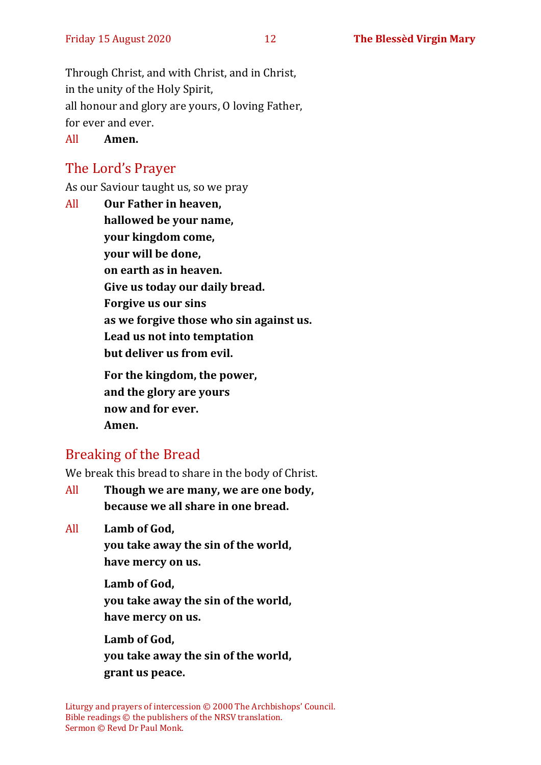Through Christ, and with Christ, and in Christ, in the unity of the Holy Spirit, all honour and glory are yours, O loving Father, for ever and ever.

All **Amen.**

# The Lord's Prayer

As our Saviour taught us, so we pray

All **Our Father in heaven, hallowed be your name, your kingdom come, your will be done, on earth as in heaven. Give us today our daily bread. Forgive us our sins as we forgive those who sin against us. Lead us not into temptation but deliver us from evil. For the kingdom, the power, and the glory are yours now and for ever.** 

**Amen.**

# Breaking of the Bread

We break this bread to share in the body of Christ.

All **Though we are many, we are one body, because we all share in one bread.**

All **Lamb of God,**

**you take away the sin of the world, have mercy on us.**

**Lamb of God, you take away the sin of the world, have mercy on us.**

**Lamb of God, you take away the sin of the world, grant us peace.**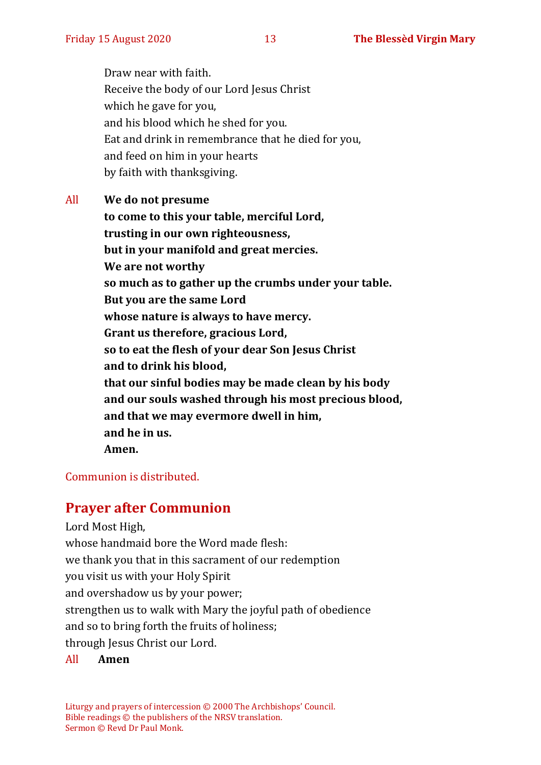Draw near with faith. Receive the body of our Lord Jesus Christ which he gave for you, and his blood which he shed for you. Eat and drink in remembrance that he died for you, and feed on him in your hearts by faith with thanksgiving.

All **We do not presume to come to this your table, merciful Lord, trusting in our own righteousness, but in your manifold and great mercies. We are not worthy so much as to gather up the crumbs under your table. But you are the same Lord whose nature is always to have mercy. Grant us therefore, gracious Lord, so to eat the flesh of your dear Son Jesus Christ and to drink his blood, that our sinful bodies may be made clean by his body and our souls washed through his most precious blood, and that we may evermore dwell in him, and he in us. Amen.**

#### Communion is distributed.

#### **Prayer after Communion**

Lord Most High, whose handmaid bore the Word made flesh: we thank you that in this sacrament of our redemption you visit us with your Holy Spirit and overshadow us by your power; strengthen us to walk with Mary the joyful path of obedience and so to bring forth the fruits of holiness; through Jesus Christ our Lord.

#### All **Amen**